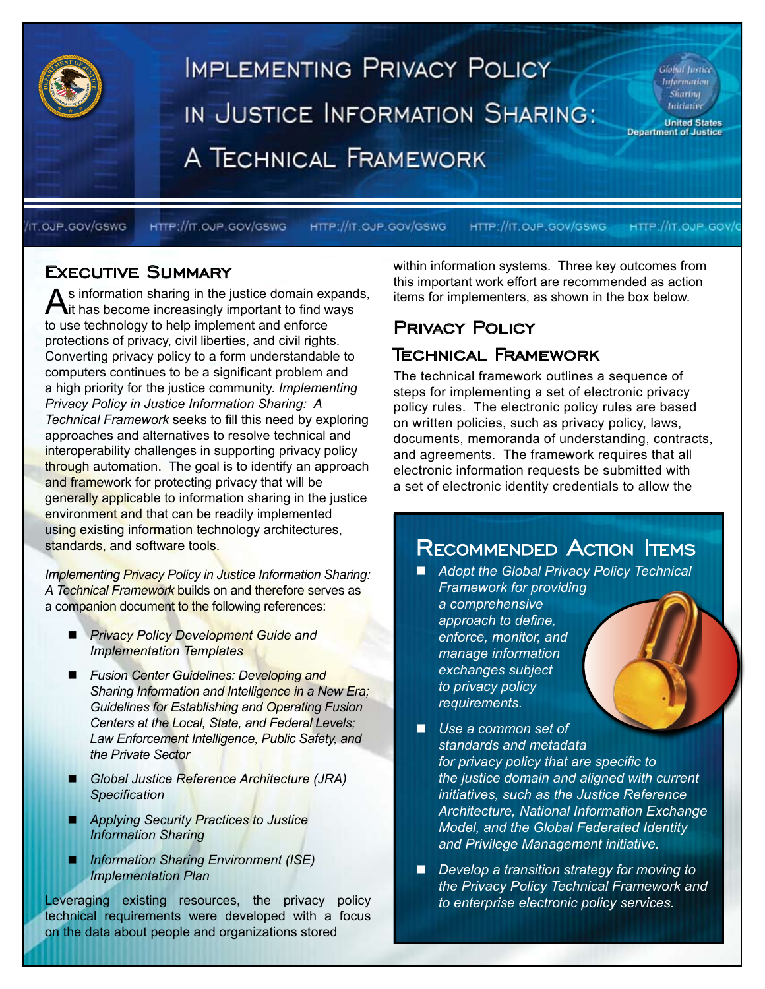

/IT.OJP.GOV/GSWG

HTTP://IT.OJP.GOV/GSWG

HTTP://IT.OJP.GOV/GSWG

HTTP://IT.OJP.GOV/GSWG HTTP://IT.OJP.GOV/

### Executive Summary

As information sharing in the justice domain expands,<br>it has become increasingly important to find ways to use technology to help implement and enforce protections of privacy, civil liberties, and civil rights. Converting privacy policy to a form understandable to computers continues to be a significant problem and a high priority for the justice community. *Implementing Privacy Policy in Justice Information Sharing: A Technical Framework* seeks to fill this need by exploring approaches and alternatives to resolve technical and interoperability challenges in supporting privacy policy through automation. The goal is to identify an approach and framework for protecting privacy that will be generally applicable to information sharing in the justice environment and that can be readily implemented using existing information technology architectures, standards, and software tools.

*Implementing Privacy Policy in Justice Information Sharing: A Technical Framework* builds on and therefore serves as a companion document to the following references:

- *Privacy Policy Development Guide and Implementation Templates*
- *Fusion Center Guidelines: Developing and Sharing Information and Intelligence in a New Era; Guidelines for Establishing and Operating Fusion Centers at the Local, State, and Federal Levels; Law Enforcement Intelligence, Public Safety, and the Private Sector*
- *Global Justice Reference Architecture (JRA) Specification*
- *Applying Security Practices to Justice Information Sharing*
- *Information Sharing Environment (ISE) Implementation Plan*

Leveraging existing resources, the privacy policy technical requirements were developed with a focus on the data about people and organizations stored

within information systems. Three key outcomes from this important work effort are recommended as action items for implementers, as shown in the box below.

### Privacy Policy

### Technical Framework

The technical framework outlines a sequence of steps for implementing a set of electronic privacy policy rules. The electronic policy rules are based on written policies, such as privacy policy, laws, documents, memoranda of understanding, contracts, and agreements. The framework requires that all electronic information requests be submitted with a set of electronic identity credentials to allow the

# RECOMMENDED ACTION ITEMS

- Adopt the Global Privacy Policy Technical *Framework for providing a comprehensive approach to define, enforce, monitor, and manage information exchanges subject to privacy policy requirements.*
- Use a common set of *standards and metadata for privacy policy that are specific to the justice domain and aligned with current initiatives, such as the Justice Reference Architecture, National Information Exchange Model, and the Global Federated Identity and Privilege Management initiative.*
- *Develop a transition strategy for moving to the Privacy Policy Technical Framework and to enterprise electronic policy services.*